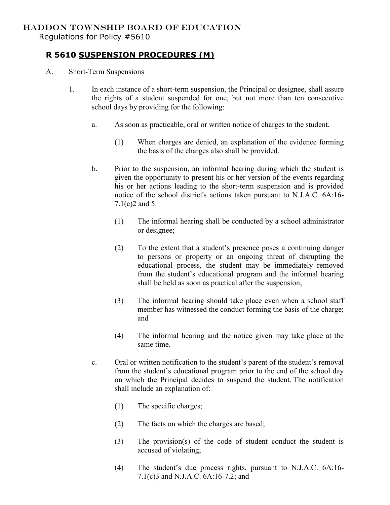## HADDON TOWNSHIP BOARD OF EDUCATION

Regulations for Policy #5610

## **R 5610 SUSPENSION PROCEDURES (M)**

- A. Short-Term Suspensions
	- 1. In each instance of a short-term suspension, the Principal or designee, shall assure the rights of a student suspended for one, but not more than ten consecutive school days by providing for the following:
		- a. As soon as practicable, oral or written notice of charges to the student.
			- (1) When charges are denied, an explanation of the evidence forming the basis of the charges also shall be provided.
		- b. Prior to the suspension, an informal hearing during which the student is given the opportunity to present his or her version of the events regarding his or her actions leading to the short-term suspension and is provided notice of the school district's actions taken pursuant to N.J.A.C. 6A:16- 7.1(c)2 and 5.
			- (1) The informal hearing shall be conducted by a school administrator or designee;
			- (2) To the extent that a student's presence poses a continuing danger to persons or property or an ongoing threat of disrupting the educational process, the student may be immediately removed from the student's educational program and the informal hearing shall be held as soon as practical after the suspension;
			- (3) The informal hearing should take place even when a school staff member has witnessed the conduct forming the basis of the charge; and
			- (4) The informal hearing and the notice given may take place at the same time.
		- c. Oral or written notification to the student's parent of the student's removal from the student's educational program prior to the end of the school day on which the Principal decides to suspend the student. The notification shall include an explanation of:
			- (1) The specific charges;
			- (2) The facts on which the charges are based;
			- (3) The provision(s) of the code of student conduct the student is accused of violating;
			- (4) The student's due process rights, pursuant to N.J.A.C. 6A:16- 7.1(c)3 and N.J.A.C. 6A:16-7.2; and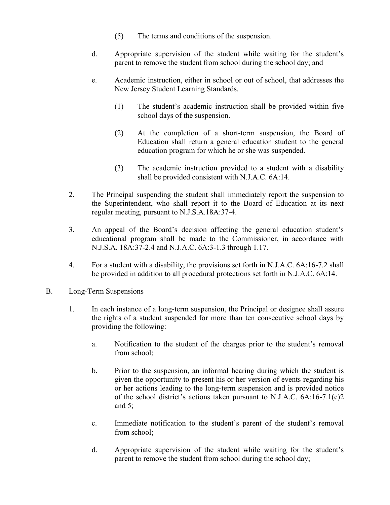- (5) The terms and conditions of the suspension.
- d. Appropriate supervision of the student while waiting for the student's parent to remove the student from school during the school day; and
- e. Academic instruction, either in school or out of school, that addresses the New Jersey Student Learning Standards.
	- (1) The student's academic instruction shall be provided within five school days of the suspension.
	- (2) At the completion of a short-term suspension, the Board of Education shall return a general education student to the general education program for which he or she was suspended.
	- (3) The academic instruction provided to a student with a disability shall be provided consistent with N.J.A.C. 6A:14.
- 2. The Principal suspending the student shall immediately report the suspension to the Superintendent, who shall report it to the Board of Education at its next regular meeting, pursuant to N.J.S.A.18A:37-4.
- 3. An appeal of the Board's decision affecting the general education student's educational program shall be made to the Commissioner, in accordance with N.J.S.A. 18A:37-2.4 and N.J.A.C. 6A:3-1.3 through 1.17.
- 4. For a student with a disability, the provisions set forth in N.J.A.C. 6A:16-7.2 shall be provided in addition to all procedural protections set forth in N.J.A.C. 6A:14.
- B. Long-Term Suspensions
	- 1. In each instance of a long-term suspension, the Principal or designee shall assure the rights of a student suspended for more than ten consecutive school days by providing the following:
		- a. Notification to the student of the charges prior to the student's removal from school;
		- b. Prior to the suspension, an informal hearing during which the student is given the opportunity to present his or her version of events regarding his or her actions leading to the long-term suspension and is provided notice of the school district's actions taken pursuant to N.J.A.C. 6A:16-7.1(c)2 and 5;
		- c. Immediate notification to the student's parent of the student's removal from school;
		- d. Appropriate supervision of the student while waiting for the student's parent to remove the student from school during the school day;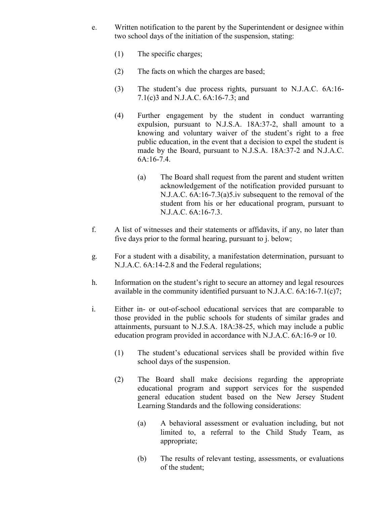- e. Written notification to the parent by the Superintendent or designee within two school days of the initiation of the suspension, stating:
	- (1) The specific charges;
	- (2) The facts on which the charges are based;
	- (3) The student's due process rights, pursuant to N.J.A.C. 6A:16- 7.1(c)3 and N.J.A.C. 6A:16-7.3; and
	- (4) Further engagement by the student in conduct warranting expulsion, pursuant to N.J.S.A. 18A:37-2, shall amount to a knowing and voluntary waiver of the student's right to a free public education, in the event that a decision to expel the student is made by the Board, pursuant to N.J.S.A. 18A:37-2 and N.J.A.C. 6A:16-7.4.
		- (a) The Board shall request from the parent and student written acknowledgement of the notification provided pursuant to N.J.A.C. 6A:16-7.3(a)5.iv subsequent to the removal of the student from his or her educational program, pursuant to N.J.A.C. 6A:16-7.3.
- f. A list of witnesses and their statements or affidavits, if any, no later than five days prior to the formal hearing, pursuant to j. below;
- g. For a student with a disability, a manifestation determination, pursuant to N.J.A.C. 6A:14-2.8 and the Federal regulations;
- h. Information on the student's right to secure an attorney and legal resources available in the community identified pursuant to N.J.A.C. 6A:16-7.1(c)7;
- i. Either in- or out-of-school educational services that are comparable to those provided in the public schools for students of similar grades and attainments, pursuant to N.J.S.A. 18A:38-25, which may include a public education program provided in accordance with N.J.A.C. 6A:16-9 or 10.
	- (1) The student's educational services shall be provided within five school days of the suspension.
	- (2) The Board shall make decisions regarding the appropriate educational program and support services for the suspended general education student based on the New Jersey Student Learning Standards and the following considerations:
		- (a) A behavioral assessment or evaluation including, but not limited to, a referral to the Child Study Team, as appropriate;
		- (b) The results of relevant testing, assessments, or evaluations of the student;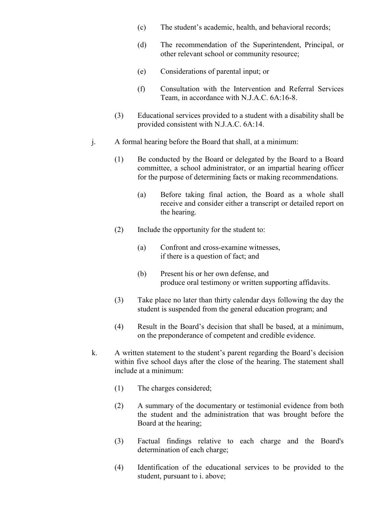- (c) The student's academic, health, and behavioral records;
- (d) The recommendation of the Superintendent, Principal, or other relevant school or community resource;
- (e) Considerations of parental input; or
- (f) Consultation with the Intervention and Referral Services Team, in accordance with N.J.A.C. 6A:16-8.
- (3) Educational services provided to a student with a disability shall be provided consistent with N.J.A.C. 6A:14.
- j. A formal hearing before the Board that shall, at a minimum:
	- (1) Be conducted by the Board or delegated by the Board to a Board committee, a school administrator, or an impartial hearing officer for the purpose of determining facts or making recommendations.
		- (a) Before taking final action, the Board as a whole shall receive and consider either a transcript or detailed report on the hearing.
	- (2) Include the opportunity for the student to:
		- (a) Confront and cross-examine witnesses, if there is a question of fact; and
		- (b) Present his or her own defense, and produce oral testimony or written supporting affidavits.
	- (3) Take place no later than thirty calendar days following the day the student is suspended from the general education program; and
	- (4) Result in the Board's decision that shall be based, at a minimum, on the preponderance of competent and credible evidence.
- k. A written statement to the student's parent regarding the Board's decision within five school days after the close of the hearing. The statement shall include at a minimum:
	- (1) The charges considered;
	- (2) A summary of the documentary or testimonial evidence from both the student and the administration that was brought before the Board at the hearing;
	- (3) Factual findings relative to each charge and the Board's determination of each charge;
	- (4) Identification of the educational services to be provided to the student, pursuant to i. above;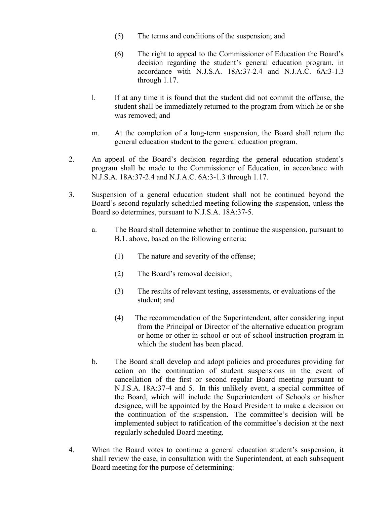- (5) The terms and conditions of the suspension; and
- (6) The right to appeal to the Commissioner of Education the Board's decision regarding the student's general education program, in accordance with N.J.S.A. 18A:37-2.4 and N.J.A.C. 6A:3-1.3 through 1.17.
- l. If at any time it is found that the student did not commit the offense, the student shall be immediately returned to the program from which he or she was removed; and
- m. At the completion of a long-term suspension, the Board shall return the general education student to the general education program.
- 2. An appeal of the Board's decision regarding the general education student's program shall be made to the Commissioner of Education, in accordance with N.J.S.A. 18A:37-2.4 and N.J.A.C. 6A:3-1.3 through 1.17.
- 3. Suspension of a general education student shall not be continued beyond the Board's second regularly scheduled meeting following the suspension, unless the Board so determines, pursuant to N.J.S.A. 18A:37-5.
	- a. The Board shall determine whether to continue the suspension, pursuant to B.1. above, based on the following criteria:
		- (1) The nature and severity of the offense;
		- (2) The Board's removal decision;
		- (3) The results of relevant testing, assessments, or evaluations of the student; and
		- (4) The recommendation of the Superintendent, after considering input from the Principal or Director of the alternative education program or home or other in-school or out-of-school instruction program in which the student has been placed.
	- b. The Board shall develop and adopt policies and procedures providing for action on the continuation of student suspensions in the event of cancellation of the first or second regular Board meeting pursuant to N.J.S.A. 18A:37-4 and 5. In this unlikely event, a special committee of the Board, which will include the Superintendent of Schools or his/her designee, will be appointed by the Board President to make a decision on the continuation of the suspension. The committee's decision will be implemented subject to ratification of the committee's decision at the next regularly scheduled Board meeting.
- 4. When the Board votes to continue a general education student's suspension, it shall review the case, in consultation with the Superintendent, at each subsequent Board meeting for the purpose of determining: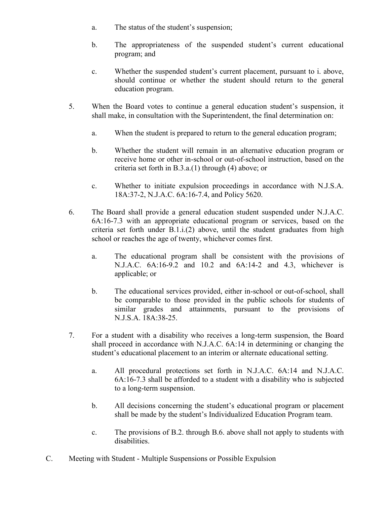- a. The status of the student's suspension;
- b. The appropriateness of the suspended student's current educational program; and
- c. Whether the suspended student's current placement, pursuant to i. above, should continue or whether the student should return to the general education program.
- 5. When the Board votes to continue a general education student's suspension, it shall make, in consultation with the Superintendent, the final determination on:
	- a. When the student is prepared to return to the general education program;
	- b. Whether the student will remain in an alternative education program or receive home or other in-school or out-of-school instruction, based on the criteria set forth in B.3.a.(1) through (4) above; or
	- c. Whether to initiate expulsion proceedings in accordance with N.J.S.A. 18A:37-2, N.J.A.C. 6A:16-7.4, and Policy 5620.
- 6. The Board shall provide a general education student suspended under N.J.A.C. 6A:16-7.3 with an appropriate educational program or services, based on the criteria set forth under B.1.i.(2) above, until the student graduates from high school or reaches the age of twenty, whichever comes first.
	- a. The educational program shall be consistent with the provisions of N.J.A.C. 6A:16-9.2 and 10.2 and 6A:14-2 and 4.3, whichever is applicable; or
	- b. The educational services provided, either in-school or out-of-school, shall be comparable to those provided in the public schools for students of similar grades and attainments, pursuant to the provisions of N.J.S.A. 18A:38-25.
- 7. For a student with a disability who receives a long-term suspension, the Board shall proceed in accordance with N.J.A.C. 6A:14 in determining or changing the student's educational placement to an interim or alternate educational setting.
	- a. All procedural protections set forth in N.J.A.C. 6A:14 and N.J.A.C. 6A:16-7.3 shall be afforded to a student with a disability who is subjected to a long-term suspension.
	- b. All decisions concerning the student's educational program or placement shall be made by the student's Individualized Education Program team.
	- c. The provisions of B.2. through B.6. above shall not apply to students with disabilities.
- C. Meeting with Student Multiple Suspensions or Possible Expulsion